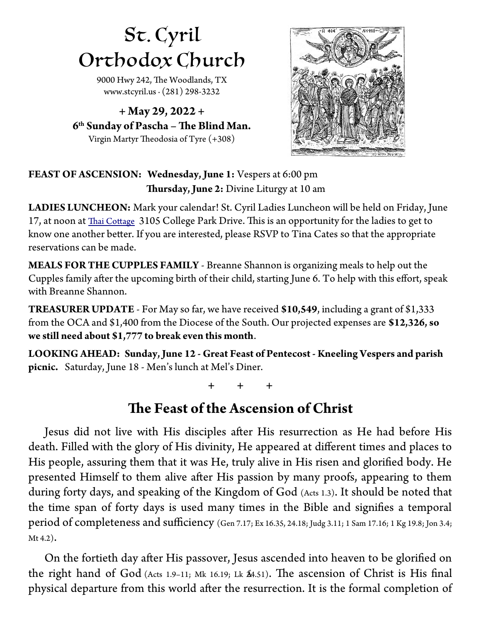# St. Cyril Orthodox Church

9000 Hwy 242, The Woodlands, TX [www.stcyril.us](http://www.stcyril.us/) ∙ (281) 298-3232

**+ May 29, 2022 + 6 th Sunday of Pascha – Te Blind Man.** Virgin Martyr Theodosia of Tyre (+308)



### **FEAST OF ASCENSION: Wednesday, June 1:** Vespers at 6:00 pm **Thursday, June 2:** Divine Liturgy at 10 am

**LADIES LUNCHEON:** Mark your calendar! St. Cyril Ladies Luncheon will be held on Friday, June 17, at noon at Thai Cottage 3105 College Park Drive. This is an opportunity for the ladies to get to know one another beter. If you are interested, please RSVP to Tina Cates so that the appropriate reservations can be made.

**MEALS FOR THE CUPPLES FAMILY** - Breanne Shannon is organizing meals to help out the Cupples family after the upcoming birth of their child, starting June 6. To help with this effort, speak with Breanne Shannon.

**TREASURER UPDATE** - For May so far, we have received **\$10,549**, including a grant of \$1,333 from the OCA and \$1,400 from the Diocese of the South. Our projected expenses are **\$12,326, so we still need about \$1,777 to break even this month**.

**LOOKING AHEAD: Sunday, June 12 - Great Feast of Pentecost - Kneeling Vespers and parish picnic.** Saturday, June 18 - Men's lunch at Mel's Diner.

**+ + +**

## **The Feast of the Ascension of Christ**

Jesus did not live with His disciples afer His resurrection as He had before His death. Filled with the glory of His divinity, He appeared at diferent times and places to His people, assuring them that it was He, truly alive in His risen and glorifed body. He presented Himself to them alive afer His passion by many proofs, appearing to them during forty days, and speaking of the Kingdom of God (Acts 1.3). It should be noted that the time span of forty days is used many times in the Bible and signifes a temporal period of completeness and sufficiency (Gen 7.17; Ex 16.35, 24.18; Judg 3.11; 1 Sam 17.16; 1 Kg 19.8; Jon 3.4; Mt 4.2).

On the fortieth day afer His passover, Jesus ascended into heaven to be glorifed on the right hand of God (Acts 1.9–11; Mk 16.19; Lk  $\hat{\mathbb{A}}$ .51). The ascension of Christ is His final physical departure from this world afer the resurrection. It is the formal completion of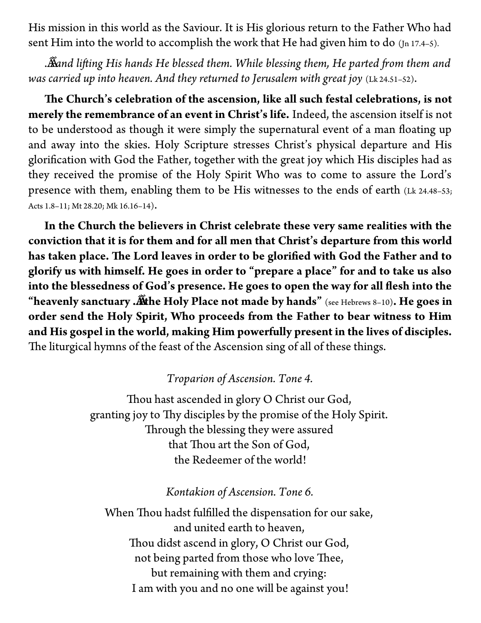His mission in this world as the Saviour. It is His glorious return to the Father Who had sent Him into the world to accomplish the work that He had given him to do  $(In 17.4-5)$ .

. . . *and lifing His hands He blessed them. While blessing them, He parted fom them and was carried up into heaven. And they returned to Jerusalem with great joy* (Lk 24.51–52).

The Church's celebration of the ascension, like all such festal celebrations, is not **merely the remembrance of an event in Christ's life.** Indeed, the ascension itself is not to be understood as though it were simply the supernatural event of a man foating up and away into the skies. Holy Scripture stresses Christ's physical departure and His glorifcation with God the Father, together with the great joy which His disciples had as they received the promise of the Holy Spirit Who was to come to assure the Lord's presence with them, enabling them to be His witnesses to the ends of earth (Lk 24.48–53; Acts 1.8–11; Mt 28.20; Mk 16.16–14).

**In the Church the believers in Christ celebrate these very same realities with the conviction that it is for them and for all men that Christ's departure from this world** has taken place. The Lord leaves in order to be glorified with God the Father and to **glorify us with himself. He goes in order to "prepare a place" for and to take us also into the blessedness of God's presence. He goes to open the way for all fesh into the "heavenly sanctuary . . . the Holy Place not made by hands"** (see Hebrews 8–10)**. He goes in order send the Holy Spirit, Who proceeds from the Father to bear witness to Him and His gospel in the world, making Him powerfully present in the lives of disciples.** The liturgical hymns of the feast of the Ascension sing of all of these things.

#### *Troparion of Ascension. Tone 4.*

Thou hast ascended in glory O Christ our God, granting joy to Thy disciples by the promise of the Holy Spirit. Through the blessing they were assured that Thou art the Son of God, the Redeemer of the world!

#### *Kontakion of Ascension. Tone 6.*

When Thou hadst fulfilled the dispensation for our sake, and united earth to heaven, Thou didst ascend in glory, O Christ our God, not being parted from those who love Thee, but remaining with them and crying: I am with you and no one will be against you!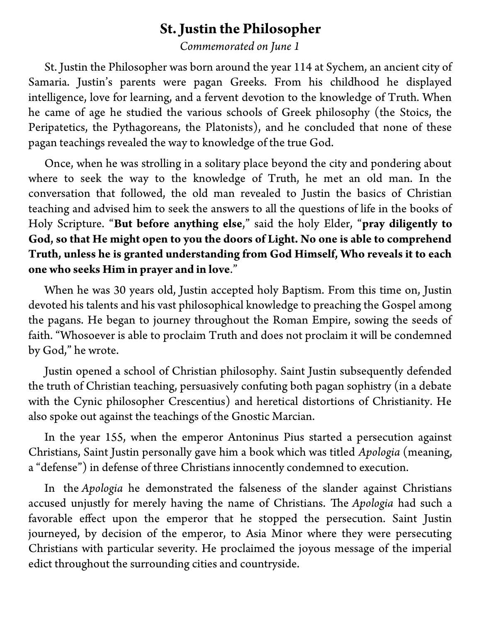## **St. Justin the Philosopher**

*Commemorated on June 1*

St. Justin the Philosopher was born around the year 114 at Sychem, an ancient city of Samaria. Justin's parents were pagan Greeks. From his childhood he displayed intelligence, love for learning, and a fervent devotion to the knowledge of Truth. When he came of age he studied the various schools of Greek philosophy (the Stoics, the Peripatetics, the Pythagoreans, the Platonists), and he concluded that none of these pagan teachings revealed the way to knowledge of the true God.

Once, when he was strolling in a solitary place beyond the city and pondering about where to seek the way to the knowledge of Truth, he met an old man. In the conversation that followed, the old man revealed to Justin the basics of Christian teaching and advised him to seek the answers to all the questions of life in the books of Holy Scripture. "**But before anything else**," said the holy Elder, "**pray diligently to God, so that He might open to you the doors of Light. No one is able to comprehend Truth, unless he is granted understanding from God Himself, Who reveals it to each one who seeks Him in prayer and in love**."

When he was 30 years old, Justin accepted holy Baptism. From this time on, Justin devoted his talents and his vast philosophical knowledge to preaching the Gospel among the pagans. He began to journey throughout the Roman Empire, sowing the seeds of faith. "Whosoever is able to proclaim Truth and does not proclaim it will be condemned by God," he wrote.

Justin opened a school of Christian philosophy. Saint Justin subsequently defended the truth of Christian teaching, persuasively confuting both pagan sophistry (in a debate with the Cynic philosopher Crescentius) and heretical distortions of Christianity. He also spoke out against the teachings of the Gnostic Marcian.

In the year 155, when the emperor Antoninus Pius started a persecution against Christians, Saint Justin personally gave him a book which was titled *Apologia* (meaning, a "defense") in defense of three Christians innocently condemned to execution.

In the *Apologia* he demonstrated the falseness of the slander against Christians accused unjustly for merely having the name of Christians. The *Apologia* had such a favorable efect upon the emperor that he stopped the persecution. Saint Justin journeyed, by decision of the emperor, to Asia Minor where they were persecuting Christians with particular severity. He proclaimed the joyous message of the imperial edict throughout the surrounding cities and countryside.